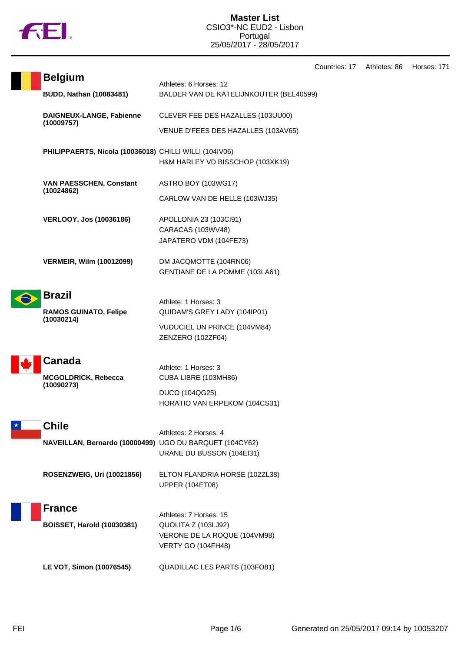

|            | <b>Belgium</b>                                          |                                                                          | ∪∪u⊓ |
|------------|---------------------------------------------------------|--------------------------------------------------------------------------|------|
|            | <b>BUDD, Nathan (10083481)</b>                          | Athletes: 6 Horses: 12<br>BALDER VAN DE KATELIJNKOUTER (BEL40599)        |      |
|            | DAIGNEUX-LANGE, Fabienne<br>(10009757)                  |                                                                          |      |
|            |                                                         | CLEVER FEE DES HAZALLES (103UU00)<br>VENUE D'FEES DES HAZALLES (103AV65) |      |
|            | PHILIPPAERTS, Nicola (10036018) CHILLI WILLI (104IV06)  |                                                                          |      |
|            |                                                         | H&M HARLEY VD BISSCHOP (103XK19)                                         |      |
|            | <b>VAN PAESSCHEN, Constant</b><br>(10024862)            | ASTRO BOY (103WG17)                                                      |      |
|            |                                                         | CARLOW VAN DE HELLE (103WJ35)                                            |      |
|            | <b>VERLOOY, Jos (10036186)</b>                          | APOLLONIA 23 (103Cl91)                                                   |      |
|            |                                                         | CARACAS (103WV48)<br>JAPATERO VDM (104FE73)                              |      |
|            | <b>VERMEIR, Wilm (10012099)</b>                         | DM JACQMOTTE (104RN06)                                                   |      |
|            |                                                         | GENTIANE DE LA POMME (103LA61)                                           |      |
|            | <b>Brazil</b>                                           |                                                                          |      |
|            | <b>RAMOS GUINATO, Felipe</b>                            | Athlete: 1 Horses: 3<br>QUIDAM'S GREY LADY (104IP01)                     |      |
| (10030214) |                                                         | VUDUCIEL UN PRINCE (104VM84)<br>ZENZERO (102ZF04)                        |      |
|            | Canada                                                  |                                                                          |      |
|            | MCGOLDRICK, Rebecca                                     | Athlete: 1 Horses: 3<br>CUBA LIBRE (103MH86)                             |      |
|            | (10090273)                                              | DUCO (104QG25)<br>HORATIO VAN ERPEKOM (104CS31)                          |      |
|            | <b>Chile</b>                                            |                                                                          |      |
|            | NAVEILLAN, Bernardo (10000499) UGO DU BARQUET (104CY62) | Athletes: 2 Horses: 4                                                    |      |
|            |                                                         | URANE DU BUSSON (104EI31)                                                |      |
|            | ROSENZWEIG, Uri (10021856)                              | ELTON FLANDRIA HORSE (102ZL38)<br><b>UPPER (104ET08)</b>                 |      |
|            | <b>France</b>                                           |                                                                          |      |
|            | <b>BOISSET, Harold (10030381)</b>                       | Athletes: 7 Horses: 15<br>QUOLITA Z (103LJ92)                            |      |
|            |                                                         | VERONE DE LA ROQUE (104VM98)<br>VERTY GO (104FH48)                       |      |
|            | LE VOT, Simon (10076545)                                | QUADILLAC LES PARTS (103FO81)                                            |      |
|            |                                                         |                                                                          |      |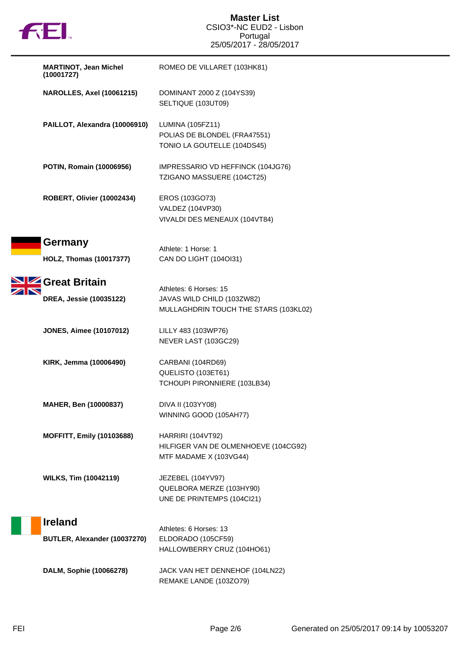

| <b>MARTINOT, Jean Michel</b><br>(10001727)       | ROMEO DE VILLARET (103HK81)                                                                   |
|--------------------------------------------------|-----------------------------------------------------------------------------------------------|
| <b>NAROLLES, Axel (10061215)</b>                 | DOMINANT 2000 Z (104YS39)<br>SELTIQUE (103UT09)                                               |
| PAILLOT, Alexandra (10006910)                    | LUMINA (105FZ11)<br>POLIAS DE BLONDEL (FRA47551)<br>TONIO LA GOUTELLE (104DS45)               |
| POTIN, Romain (10006956)                         | IMPRESSARIO VD HEFFINCK (104JG76)<br>TZIGANO MASSUERE (104CT25)                               |
| ROBERT, Olivier (10002434)                       | EROS (103GO73)<br>VALDEZ (104VP30)<br>VIVALDI DES MENEAUX (104VT84)                           |
| <b>Germany</b><br><b>HOLZ, Thomas (10017377)</b> | Athlete: 1 Horse: 1<br>CAN DO LIGHT (1040I31)                                                 |
| Great Britain<br>DREA, Jessie (10035122)         | Athletes: 6 Horses: 15<br>JAVAS WILD CHILD (103ZW82)<br>MULLAGHDRIN TOUCH THE STARS (103KL02) |
| <b>JONES, Aimee (10107012)</b>                   | LILLY 483 (103WP76)<br>NEVER LAST (103GC29)                                                   |
| KIRK, Jemma (10006490)                           | CARBANI (104RD69)<br>QUELISTO (103ET61)<br>TCHOUPI PIRONNIERE (103LB34)                       |
| <b>MAHER, Ben (10000837)</b>                     | DIVA II (103YY08)<br>WINNING GOOD (105AH77)                                                   |
| <b>MOFFITT, Emily (10103688)</b>                 | HARRIRI (104VT92)<br>HILFIGER VAN DE OLMENHOEVE (104CG92)<br>MTF MADAME X (103VG44)           |
| <b>WILKS, Tim (10042119)</b>                     | JEZEBEL (104YV97)<br>QUELBORA MERZE (103HY90)<br>UNE DE PRINTEMPS (104Cl21)                   |
| <b>Ireland</b><br>BUTLER, Alexander (10037270)   | Athletes: 6 Horses: 13<br>ELDORADO (105CF59)<br>HALLOWBERRY CRUZ (104HO61)                    |
| DALM, Sophie (10066278)                          | JACK VAN HET DENNEHOF (104LN22)<br>REMAKE LANDE (103ZO79)                                     |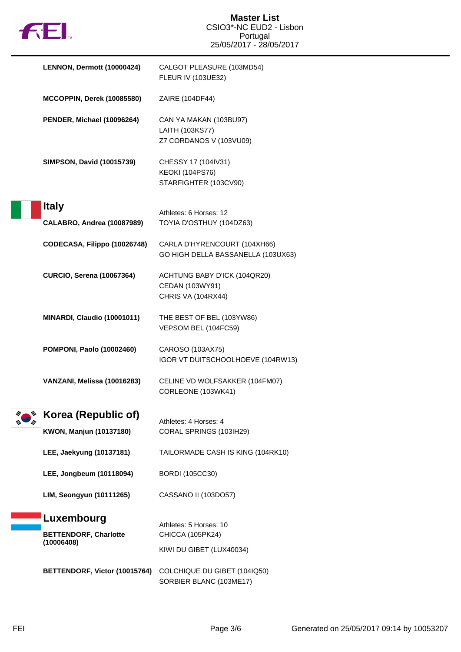|  | FEI.                                                  | <b>Master List</b><br>CSIO3*-NC EUD2 - Lisbon<br>Portugal              |
|--|-------------------------------------------------------|------------------------------------------------------------------------|
|  |                                                       | 25/05/2017 - 28/05/2017                                                |
|  | LENNON, Dermott (10000424)                            | CALGOT PLEASURE (103MD54)<br>FLEUR IV (103UE32)                        |
|  | MCCOPPIN, Derek (10085580)                            | ZAIRE (104DF44)                                                        |
|  | PENDER, Michael (10096264)                            | CAN YA MAKAN (103BU97)<br>LAITH (103KS77)<br>Z7 CORDANOS V (103VU09)   |
|  | <b>SIMPSON, David (10015739)</b>                      | CHESSY 17 (104IV31)<br><b>KEOKI (104PS76)</b><br>STARFIGHTER (103CV90) |
|  | <b>Italy</b>                                          | Athletes: 6 Horses: 12                                                 |
|  | <b>CALABRO, Andrea (10087989)</b>                     | TOYIA D'OSTHUY (104DZ63)                                               |
|  | CODECASA, Filippo (10026748)                          | CARLA D'HYRENCOURT (104XH66)<br>GO HIGH DELLA BASSANELLA (103UX63)     |
|  | <b>CURCIO, Serena (10067364)</b>                      | ACHTUNG BABY D'ICK (104QR20)<br>CEDAN (103WY91)                        |
|  |                                                       | <b>CHRIS VA (104RX44)</b>                                              |
|  | MINARDI, Claudio (10001011)                           | THE BEST OF BEL (103YW86)<br>VEPSOM BEL (104FC59)                      |
|  | <b>POMPONI, Paolo (10002460)</b>                      | CAROSO (103AX75)<br>IGOR VT DUITSCHOOLHOEVE (104RW13)                  |
|  | VANZANI, Melissa (10016283)                           | CELINE VD WOLFSAKKER (104FM07)<br>CORLEONE (103WK41)                   |
|  | Korea (Republic of)<br><b>KWON, Manjun (10137180)</b> | Athletes: 4 Horses: 4<br>CORAL SPRINGS (103IH29)                       |
|  | LEE, Jaekyung (10137181)                              | TAILORMADE CASH IS KING (104RK10)                                      |
|  | LEE, Jongbeum (10118094)                              | <b>BORDI</b> (105CC30)                                                 |
|  | LIM, Seongyun (10111265)                              | CASSANO II (103DO57)                                                   |
|  | Luxembourg                                            | Athletes: 5 Horses: 10                                                 |
|  | <b>BETTENDORF, Charlotte</b><br>(10006408)            | CHICCA (105PK24)                                                       |
|  |                                                       | KIWI DU GIBET (LUX40034)                                               |
|  | BETTENDORF, Victor (10015764)                         | COLCHIQUE DU GIBET (104IQ50)<br>SORBIER BLANC (103ME17)                |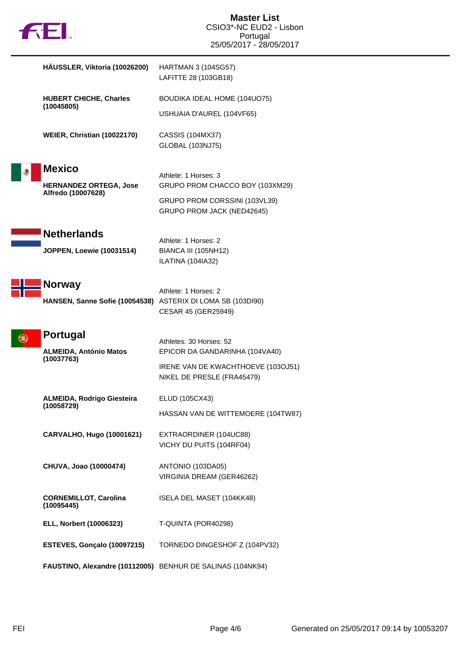|  | <b>TM</b> |
|--|-----------|
|  |           |

| HAUSSLER, Viktoria (10026200)                              | <b>HARTMAN 3 (104SG57)</b><br>LAFITTE 28 (103GB18)                   |
|------------------------------------------------------------|----------------------------------------------------------------------|
| <b>HUBERT CHICHE, Charles</b><br>(10045805)                | BOUDIKA IDEAL HOME (104UO75)                                         |
|                                                            | USHUAIA D'AUREL (104VF65)                                            |
| WEIER, Christian (10022170)                                | CASSIS (104MX37)<br>GLOBAL (103NJ75)                                 |
| <b>Mexico</b>                                              | Athlete: 1 Horses: 3                                                 |
| <b>HERNANDEZ ORTEGA, Jose</b><br>Alfredo (10007628)        | GRUPO PROM CHACCO BOY (103XM29)                                      |
|                                                            | GRUPO PROM CORSSINI (103VL39)<br>GRUPO PROM JACK (NED42645)          |
| <b>Netherlands</b>                                         | Athlete: 1 Horses: 2                                                 |
| <b>JOPPEN, Loewie (10031514)</b>                           | <b>BIANCA III (105NH12)</b><br>ILATINA (104IA32)                     |
| <b>Norway</b>                                              | Athlete: 1 Horses: 2                                                 |
| HANSEN, Sanne Sofie (10054538)                             | ASTERIX DI LOMA SB (103DI90)                                         |
|                                                            | CESAR 45 (GER25949)                                                  |
| <b>Portugal</b>                                            | Athletes: 30 Horses: 52                                              |
| <b>ALMEIDA, António Matos</b><br>(10037763)                | EPICOR DA GANDARINHA (104VA40)<br>IRENE VAN DE KWACHTHOEVE (103OJ51) |
|                                                            | NIKEL DE PRESLE (FRA45479)                                           |
| <b>ALMEIDA, Rodrigo Giesteira</b>                          | ELUD (105CX43)                                                       |
| (10058729)                                                 | HASSAN VAN DE WITTEMOERE (104TW87)                                   |
| CARVALHO, Hugo (10001621)                                  | EXTRAORDINER (104UC88)                                               |
|                                                            | VICHY DU PUITS (104RF04)                                             |
| CHUVA, Joao (10000474)                                     | ANTONIO (103DA05)<br>VIRGINIA DREAM (GER46262)                       |
| <b>CORNEMILLOT, Carolina</b><br>(10095445)                 | ISELA DEL MASET (104KK48)                                            |
| ELL, Norbert (10006323)                                    | T-QUINTA (POR40298)                                                  |
| ESTEVES, Gonçalo (10097215)                                | TORNEDO DINGESHOF Z (104PV32)                                        |
|                                                            |                                                                      |
| FAUSTINO, Alexandre (10112005) BENHUR DE SALINAS (104NK94) |                                                                      |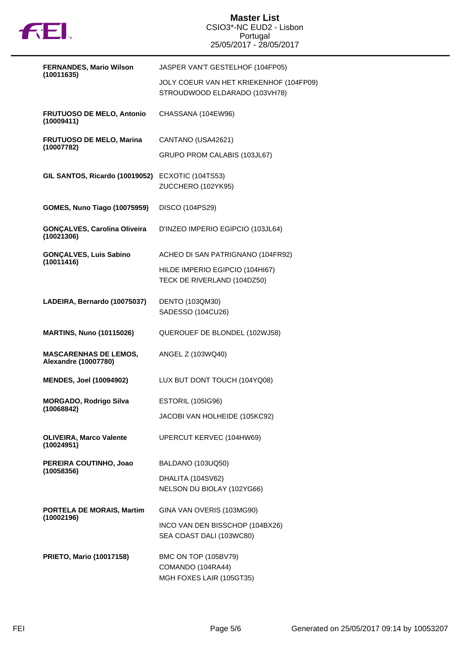

| <b>FERNANDES, Mario Wilson</b>                              | JASPER VAN'T GESTELHOF (104FP05)                                         |
|-------------------------------------------------------------|--------------------------------------------------------------------------|
| (10011635)                                                  | JOLY COEUR VAN HET KRIEKENHOF (104FP09)<br>STROUDWOOD ELDARADO (103VH78) |
| <b>FRUTUOSO DE MELO, Antonio</b><br>(10009411)              | CHASSANA (104EW96)                                                       |
| <b>FRUTUOSO DE MELO, Marina</b><br>(10007782)               | CANTANO (USA42621)                                                       |
|                                                             | GRUPO PROM CALABIS (103JL67)                                             |
| GIL SANTOS, Ricardo (10019052)                              | ECXOTIC (104TS53)<br>ZUCCHERO (102YK95)                                  |
| <b>GOMES, Nuno Tiago (10075959)</b>                         | DISCO (104PS29)                                                          |
| <b>GONÇALVES, Carolina Oliveira</b><br>(10021306)           | D'INZEO IMPERIO EGIPCIO (103JL64)                                        |
| <b>GONÇALVES, Luis Sabino</b><br>(10011416)                 | ACHEO DI SAN PATRIGNANO (104FR92)                                        |
|                                                             | HILDE IMPERIO EGIPCIO (104HI67)<br>TECK DE RIVERLAND (104DZ50)           |
| LADEIRA, Bernardo (10075037)                                | DENTO (103QM30)<br>SADESSO (104CU26)                                     |
| <b>MARTINS, Nuno (10115026)</b>                             | QUEROUEF DE BLONDEL (102WJ58)                                            |
| <b>MASCARENHAS DE LEMOS,</b><br><b>Alexandre (10007780)</b> | ANGEL Z (103WQ40)                                                        |
| <b>MENDES, Joel (10094902)</b>                              | LUX BUT DONT TOUCH (104YQ08)                                             |
| <b>MORGADO, Rodrigo Silva</b><br>(10068842)                 | <b>ESTORIL (105IG96)</b>                                                 |
|                                                             | JACOBI VAN HOLHEIDE (105KC92)                                            |
| <b>OLIVEIRA, Marco Valente</b><br>(10024951)                | UPERCUT KERVEC (104HW69)                                                 |
| PEREIRA COUTINHO, Joao                                      | BALDANO (103UQ50)                                                        |
| (10058356)                                                  | DHALITA (104SV62)<br>NELSON DU BIOLAY (102YG66)                          |
| PORTELA DE MORAIS, Martim                                   | GINA VAN OVERIS (103MG90)                                                |
| (10002196)                                                  | INCO VAN DEN BISSCHOP (104BX26)<br>SEA COAST DALI (103WC80)              |
| <b>PRIETO, Mario (10017158)</b>                             | BMC ON TOP (105BV79)<br>COMANDO (104RA44)<br>MGH FOXES LAIR (105GT35)    |